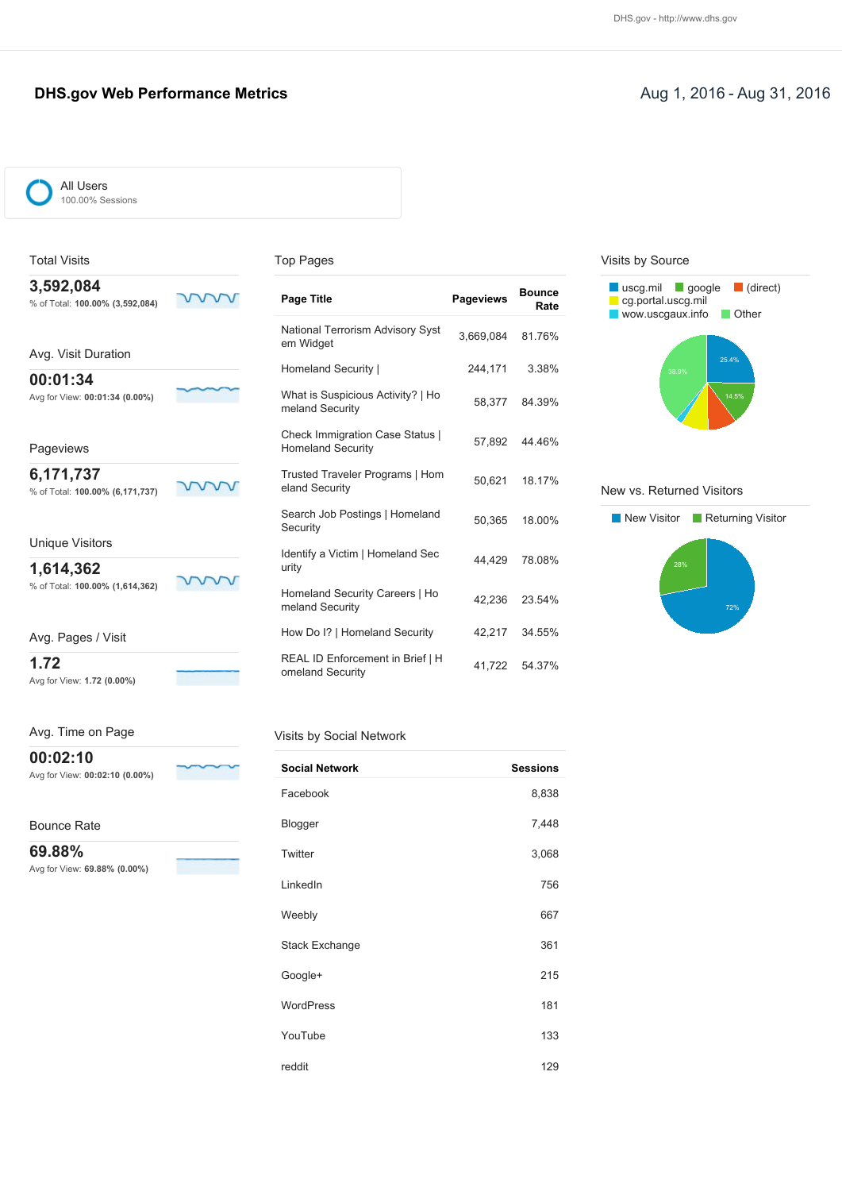### **DHS.gov Web Performance Metrics Aug 1, 2016 - Aug 31, 2016** Aug 31, 2016

| ſ | All Users<br>100.00% Sessions |  |
|---|-------------------------------|--|
|   |                               |  |

Total Visits

Avg. Time on Page

Avg for View: **00:02:10 (0.00%)**

۳

Avg for View: **69.88% (0.00%)**

**00:02:10**

Bounce Rate **69.88%**

| on Pages |  |
|----------|--|
|----------|--|

| 3,592,084<br>% of Total: 100.00% (3,592,084) | Page Title                                                         | <b>Pageviews</b> | <b>Bounce</b><br>Rate |
|----------------------------------------------|--------------------------------------------------------------------|------------------|-----------------------|
| Avg. Visit Duration                          | National Terrorism Advisory Syst<br>em Widget                      | 3.669.084        | 81.76%                |
|                                              | Homeland Security                                                  | 244,171          | 3.38%                 |
| 00:01:34<br>Avg for View: 00:01:34 (0.00%)   | What is Suspicious Activity?   Ho<br>meland Security               | 58,377           | 84.39%                |
| Pageviews                                    | <b>Check Immigration Case Status  </b><br><b>Homeland Security</b> | 57.892           | 44.46%                |
| 6,171,737<br>% of Total: 100.00% (6,171,737) | Trusted Traveler Programs   Hom<br>eland Security                  | 50.621           | 18.17%                |
|                                              | Search Job Postings   Homeland<br>Security                         | 50,365           | 18.00%                |
| <b>Unique Visitors</b><br>1,614,362          | Identify a Victim   Homeland Sec<br>urity                          | 44,429           | 78.08%                |
| % of Total: 100.00% (1,614,362)              | Homeland Security Careers   Ho<br>meland Security                  | 42.236           | 23.54%                |
| Avg. Pages / Visit                           | How Do I?   Homeland Security                                      | 42,217           | 34.55%                |
| 1.72<br>Avg for View: 1.72 (0.00%)           | REAL ID Enforcement in Brief   H<br>omeland Security               | 41.722           | 54.37%                |

#### Visits by Social Network

| <b>Social Network</b> | <b>Sessions</b> |
|-----------------------|-----------------|
| Facebook              | 8,838           |
| Blogger               | 7,448           |
| Twitter               | 3,068           |
| LinkedIn              | 756             |
| Weebly                | 667             |
| <b>Stack Exchange</b> | 361             |
| Google+               | 215             |
| <b>WordPress</b>      | 181             |
| YouTube               | 133             |
| reddit                | 129             |

#### Visits by Source



#### New vs. Returned Visitors

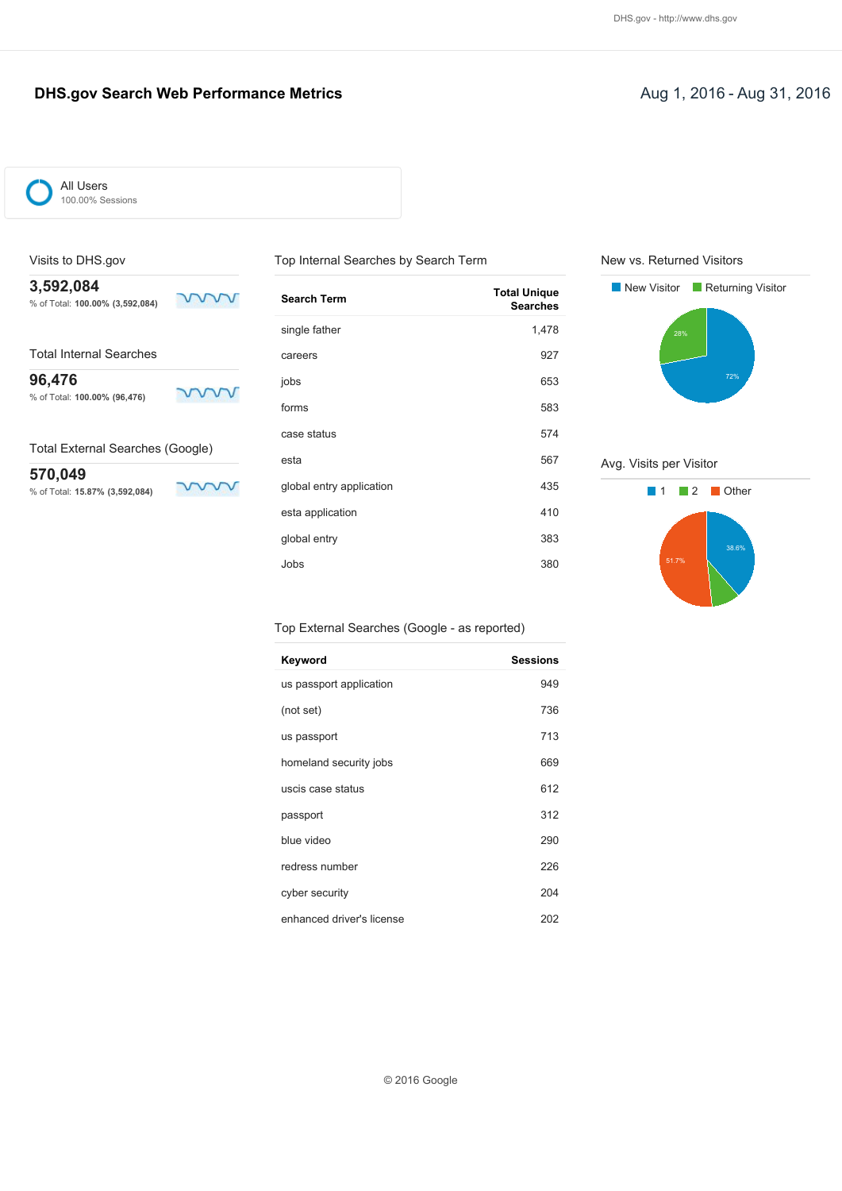### **DHS.gov Search Web Performance Metrics Aug 1, 2016 - Aug 31, 2016**

ww

mm

ww



All Users 100.00% Sessions

### Visits to DHS.gov

**3,592,084** % of Total: **100.00% (3,592,084)**

Total Internal Searches

**96,476**

% of Total: **100.00% (96,476)**

Total External Searches (Google)

**570,049** % of Total: **15.87% (3,592,084)**

| <b>Search Term</b>       | <b>Total Unique</b><br><b>Searches</b> |
|--------------------------|----------------------------------------|
| single father            | 1,478                                  |
| careers                  | 927                                    |
| jobs                     | 653                                    |
| forms                    | 583                                    |
| case status              | 574                                    |
| esta                     | 567                                    |
| global entry application | 435                                    |
| esta application         | 410                                    |
| global entry             | 383                                    |
| Jobs                     | 380                                    |

Top Internal Searches by Search Term

New vs. Returned Visitors



Avg. Visits per Visitor



#### Top External Searches (Google - as reported)

| Keyword                   | <b>Sessions</b> |
|---------------------------|-----------------|
| us passport application   | 949             |
| (not set)                 | 736             |
| us passport               | 713             |
| homeland security jobs    | 669             |
| uscis case status         | 612             |
| passport                  | 312             |
| blue video                | 290             |
| redress number            | 226             |
| cyber security            | 204             |
| enhanced driver's license | 202             |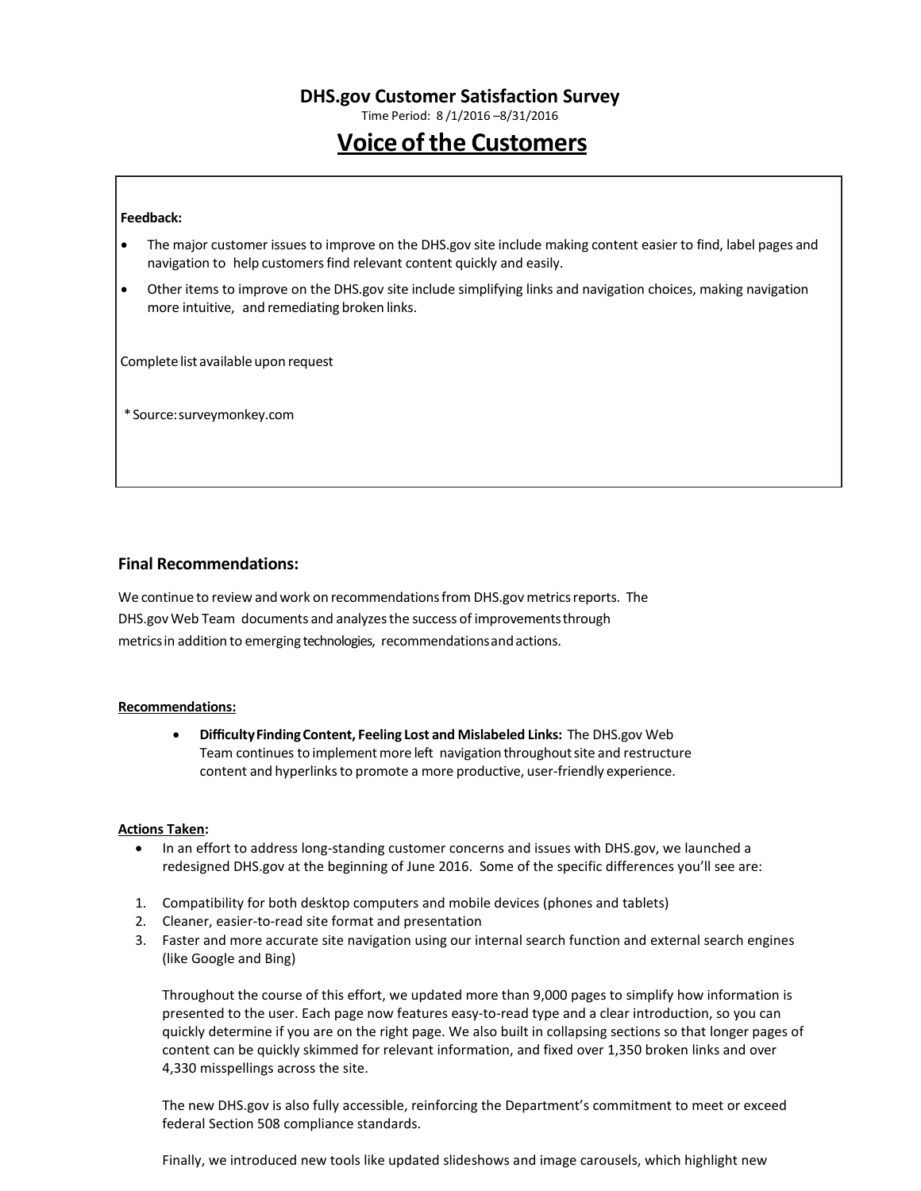Time Period: 8 /1/2016 –8/31/2016

# **Voice of the Customers**

#### **Feedback:**

- The major customer issuesto improve on the DHS.gov site include making content easier to find, label pages and navigation to help customers find relevant content quickly and easily.
- Other items to improve on the DHS.gov site include simplifying links and navigation choices, making navigation more intuitive, and remediating broken links.

Complete list available upon request

\*Source:surveymonkey.com

### **Final Recommendations:**

We continue to review and work on recommendations from DHS.gov metrics reports. The DHS.gov Web Team documents and analyzesthe success of improvementsthrough metricsin addition to emerging technologies, recommendationsandactions.

#### **Recommendations:**

• **DifficultyFindingContent, Feeling Lost and Mislabeled Links:** The DHS.gov Web Team continues to implement more left navigation throughout site and restructure content and hyperlinks to promote a more productive, user-friendly experience.

#### **Actions Taken:**

- In an effort to address long-standing customer concerns and issues with DHS.gov, we launched a redesigned DHS.gov at the beginning of June 2016. Some of the specific differences you'll see are:
- 1. Compatibility for both desktop computers and mobile devices (phones and tablets)
- 2. Cleaner, easier-to-read site format and presentation
- 3. Faster and more accurate site navigation using our internal search function and external search engines (like Google and Bing)

Throughout the course of this effort, we updated more than 9,000 pages to simplify how information is presented to the user. Each page now features easy-to-read type and a clear introduction, so you can quickly determine if you are on the right page. We also built in collapsing sections so that longer pages of content can be quickly skimmed for relevant information, and fixed over 1,350 broken links and over 4,330 misspellings across the site.

The new DHS.gov is also fully accessible, reinforcing the Department's commitment to meet or exceed federal Section 508 compliance standards.

Finally, we introduced new tools like updated slideshows and image carousels, which highlight new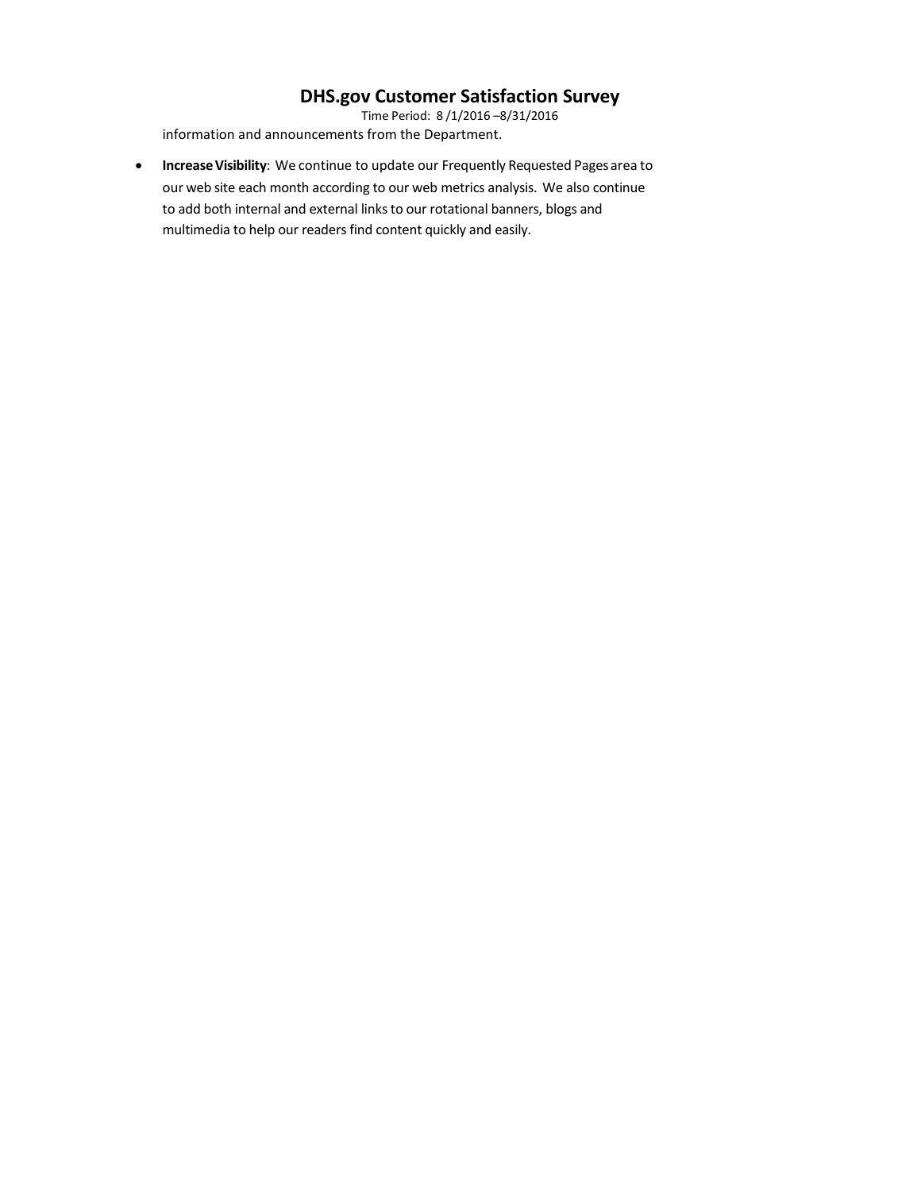Time Period: 8 /1/2016 –8/31/2016 information and announcements from the Department.

• **IncreaseVisibility**: We continue to update our Frequently Requested Pagesarea to our web site each month according to our web metrics analysis. We also continue to add both internal and external links to our rotational banners, blogs and multimedia to help our readers find content quickly and easily.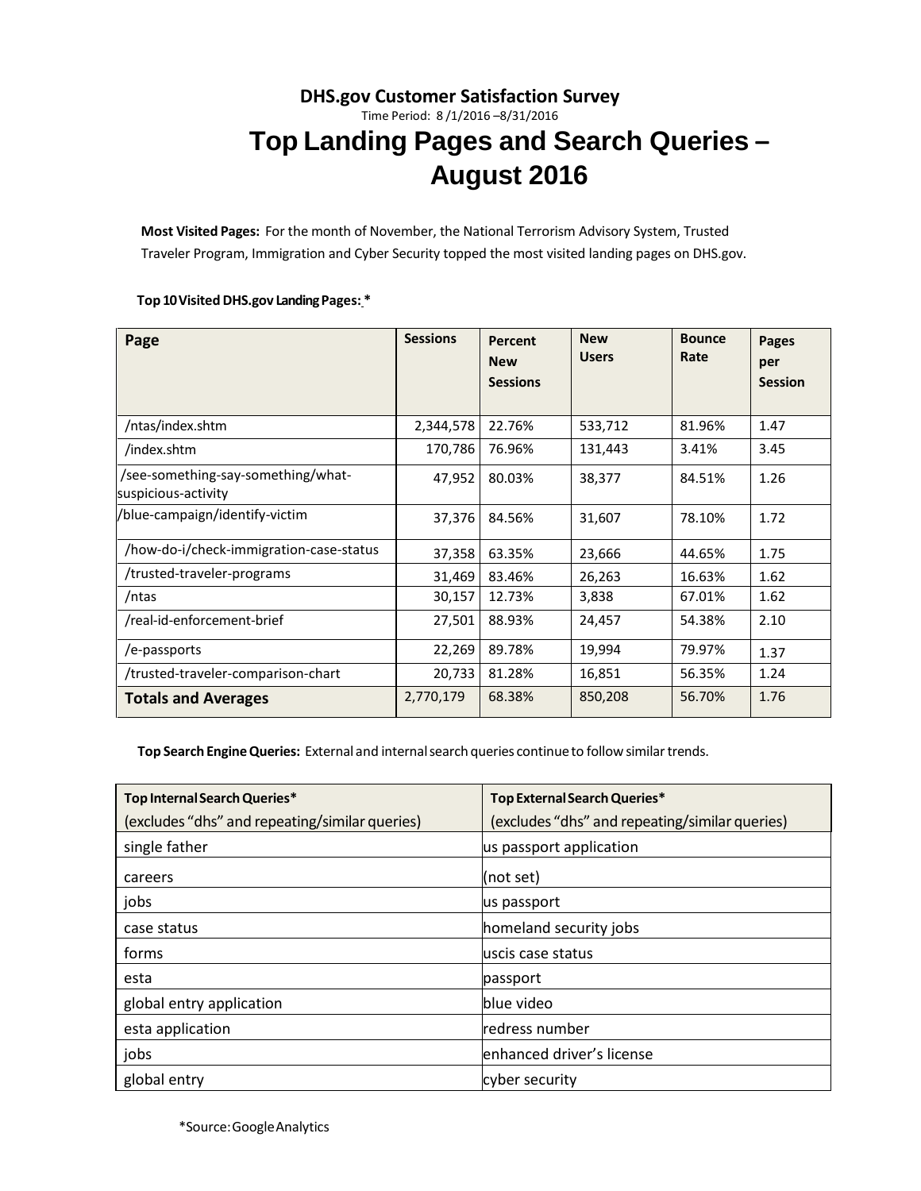# **DHS.gov Customer Satisfaction Survey** Time Period: 8 /1/2016 –8/31/2016 **Top Landing Pages and Search Queries – August 2016**

**Most Visited Pages:** For the month of November, the National Terrorism Advisory System, Trusted Traveler Program, Immigration and Cyber Security topped the most visited landing pages on DHS.gov.

### **Top 10Visited DHS.gov LandingPages: \***

| Page                                                      | <b>Sessions</b> | Percent<br><b>New</b> | <b>New</b><br><b>Users</b> | <b>Bounce</b><br>Rate | Pages<br>per   |
|-----------------------------------------------------------|-----------------|-----------------------|----------------------------|-----------------------|----------------|
|                                                           |                 | <b>Sessions</b>       |                            |                       | <b>Session</b> |
| /ntas/index.shtm                                          | 2,344,578       | 22.76%                | 533,712                    | 81.96%                | 1.47           |
| /index.shtm                                               | 170,786         | 76.96%                | 131,443                    | 3.41%                 | 3.45           |
| /see-something-say-something/what-<br>suspicious-activity | 47,952          | 80.03%                | 38,377                     | 84.51%                | 1.26           |
| /blue-campaign/identify-victim                            | 37,376          | 84.56%                | 31,607                     | 78.10%                | 1.72           |
| /how-do-i/check-immigration-case-status                   | 37,358          | 63.35%                | 23,666                     | 44.65%                | 1.75           |
| trusted-traveler-programs                                 | 31,469          | 83.46%                | 26,263                     | 16.63%                | 1.62           |
| /ntas                                                     | 30,157          | 12.73%                | 3,838                      | 67.01%                | 1.62           |
| /real-id-enforcement-brief                                | 27,501          | 88.93%                | 24,457                     | 54.38%                | 2.10           |
| /e-passports                                              | 22,269          | 89.78%                | 19,994                     | 79.97%                | 1.37           |
| trusted-traveler-comparison-chart                         | 20,733          | 81.28%                | 16,851                     | 56.35%                | 1.24           |
| <b>Totals and Averages</b>                                | 2,770,179       | 68.38%                | 850,208                    | 56.70%                | 1.76           |

**Top Search EngineQueries:** External and internalsearch queries continueto followsimilartrends.

| Top Internal Search Queries*                   | Top External Search Queries*                   |
|------------------------------------------------|------------------------------------------------|
| (excludes "dhs" and repeating/similar queries) | (excludes "dhs" and repeating/similar queries) |
| single father                                  | us passport application                        |
| careers                                        | (not set)                                      |
| jobs                                           | us passport                                    |
| case status                                    | homeland security jobs                         |
| forms                                          | uscis case status                              |
| esta                                           | passport                                       |
| global entry application                       | lblue video                                    |
| esta application                               | redress number                                 |
| jobs                                           | enhanced driver's license                      |
| global entry                                   | cyber security                                 |

\*Source:GoogleAnalytics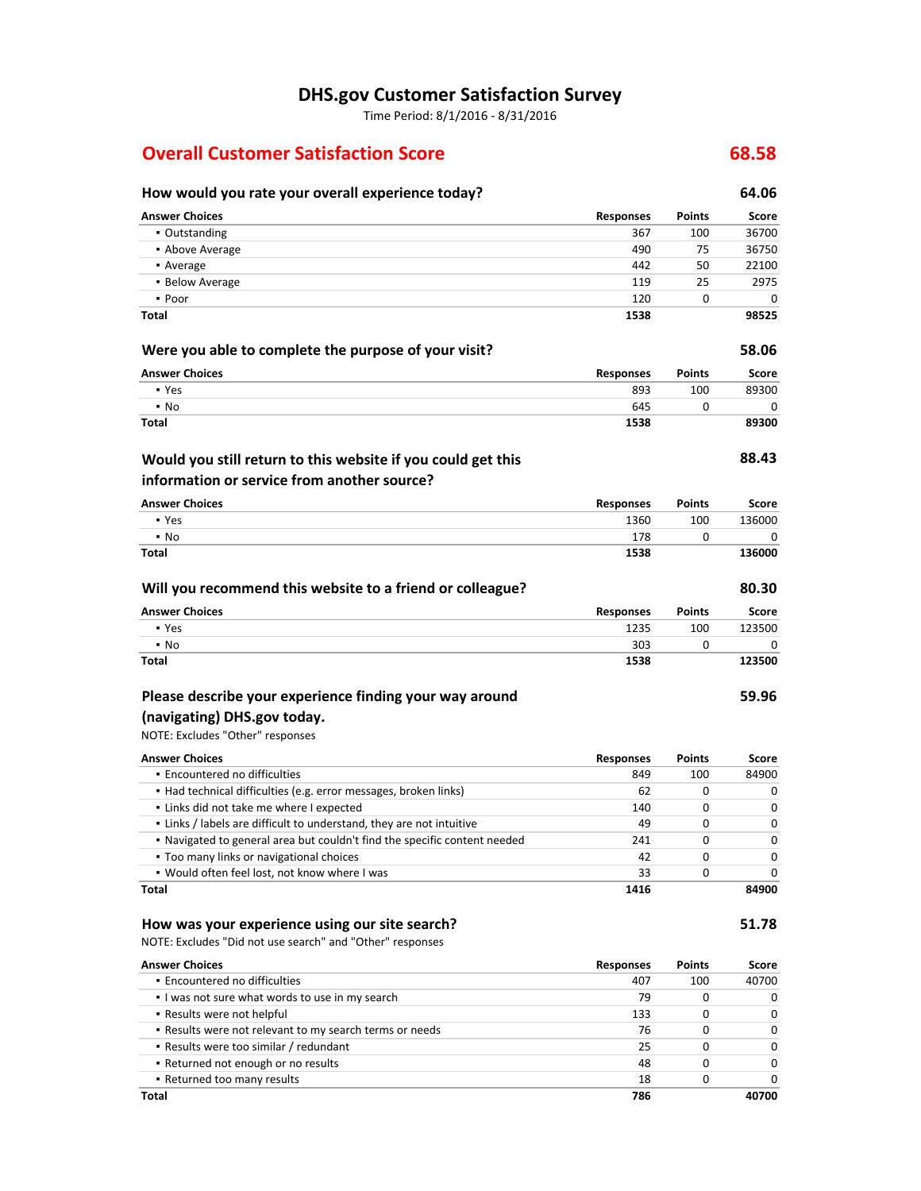Time Period: 8/1/2016 - 8/31/2016

# **Overall Customer Satisfaction Score 68.58**

| How would you rate your overall experience today?                         |                  |               | 64.06  |
|---------------------------------------------------------------------------|------------------|---------------|--------|
| <b>Answer Choices</b>                                                     | <b>Responses</b> | Points        | Score  |
| • Outstanding                                                             | 367              | 100           | 36700  |
| • Above Average                                                           | 490              | 75            | 36750  |
| • Average                                                                 | 442              | 50            | 22100  |
| • Below Average                                                           | 119              | 25            | 2975   |
| • Poor                                                                    | 120              | 0             | 0      |
| Total                                                                     | 1538             |               | 98525  |
| Were you able to complete the purpose of your visit?                      |                  |               | 58.06  |
| <b>Answer Choices</b>                                                     | <b>Responses</b> | Points        | Score  |
| • Yes                                                                     | 893              | 100           | 89300  |
| $\cdot$ No                                                                | 645              | 0             | 0      |
| <b>Total</b>                                                              | 1538             |               | 89300  |
| Would you still return to this website if you could get this              |                  |               | 88.43  |
| information or service from another source?                               |                  |               |        |
| <b>Answer Choices</b>                                                     | <b>Responses</b> | Points        | Score  |
| • Yes                                                                     | 1360             | 100           | 136000 |
| $\cdot$ No                                                                | 178              | 0             | 0      |
| Total                                                                     | 1538             |               | 136000 |
| Will you recommend this website to a friend or colleague?                 |                  |               | 80.30  |
| <b>Answer Choices</b>                                                     | <b>Responses</b> | Points        | Score  |
| • Yes                                                                     | 1235             | 100           | 123500 |
| $\cdot$ No                                                                | 303              | 0             | 0      |
| <b>Total</b>                                                              | 1538             |               | 123500 |
| Please describe your experience finding your way around                   |                  |               | 59.96  |
| (navigating) DHS.gov today.                                               |                  |               |        |
| NOTE: Excludes "Other" responses                                          |                  |               |        |
| <b>Answer Choices</b>                                                     | <b>Responses</b> | Points        | Score  |
| • Encountered no difficulties                                             | 849              | 100           | 84900  |
| • Had technical difficulties (e.g. error messages, broken links)          | 62               | 0             | 0      |
| . Links did not take me where I expected                                  | 140              | 0             | 0      |
| . Links / labels are difficult to understand, they are not intuitive      | 49               | 0             | 0      |
| • Navigated to general area but couldn't find the specific content needed | 241              | 0             | 0      |
| . Too many links or navigational choices                                  | 42               | 0             | 0      |
| . Would often feel lost, not know where I was                             | 33               | 0             | 0      |
| Total                                                                     | 1416             |               | 84900  |
| How was your experience using our site search?                            |                  |               | 51.78  |
| NOTE: Excludes "Did not use search" and "Other" responses                 |                  |               |        |
| <b>Answer Choices</b>                                                     | <b>Responses</b> | <b>Points</b> | Score  |
| . Encountered no difficulties                                             | 407              | 100           | 40700  |
| . I was not sure what words to use in my search                           | 79               | 0             | 0      |
| . Results were not helpful                                                | 133              | 0             | 0      |
| . Results were not relevant to my search terms or needs                   | 76               | 0             | 0      |
| • Results were too similar / redundant                                    | 25               | 0             | 0      |
| . Returned not enough or no results                                       | 48               | 0             | 0      |
| . Returned too many results                                               | 18               | 0             | 0      |